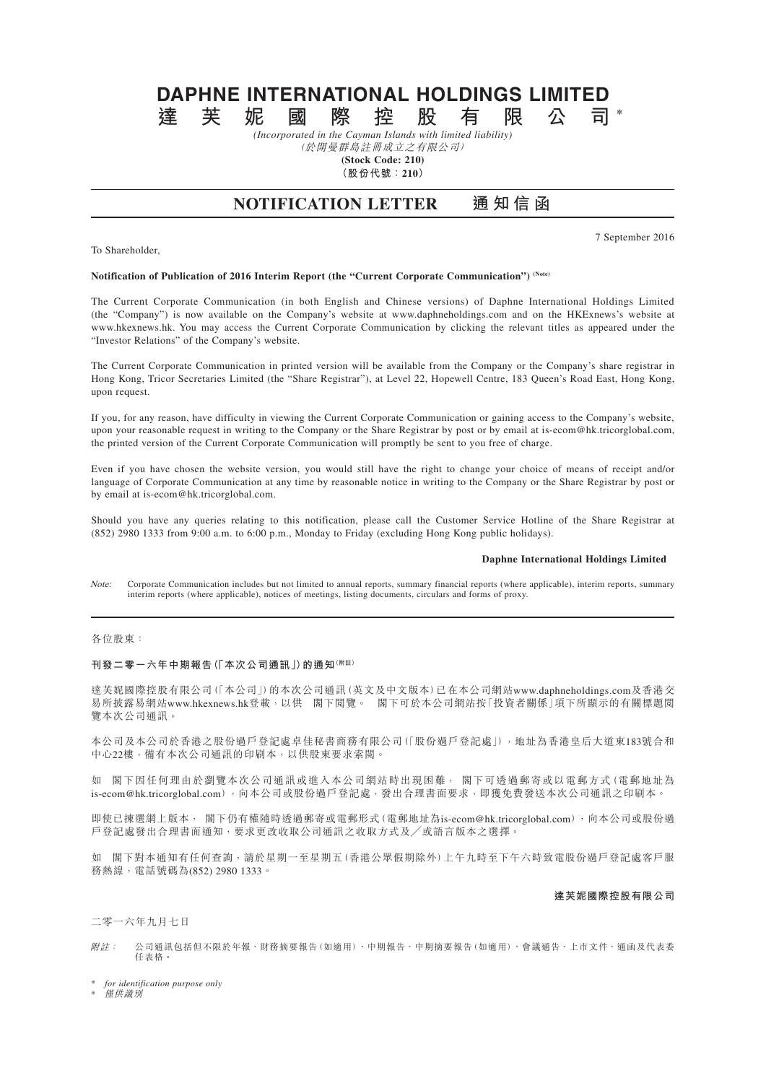# **DAPHNE INTERNATIONAL HOLDINGS LIMITED**<br>達 芙 妮 國 際 控 股 有 限 公 司 **達芙妮國際控股有限公司 \***

*(Incorporated in the Cayman Islands with limited liability)* (於開曼群島註冊成立之有限公司)

**(Stock Code: 210)**

**(股份代號:210)**

## **NOTIFICATION LETTER 通 知 信 函**

7 September 2016

#### **Notification of Publication of 2016 Interim Report (the "Current Corporate Communication") (Note)**

The Current Corporate Communication (in both English and Chinese versions) of Daphne International Holdings Limited (the "Company") is now available on the Company's website at www.daphneholdings.com and on the HKExnews's website at www.hkexnews.hk. You may access the Current Corporate Communication by clicking the relevant titles as appeared under the "Investor Relations" of the Company's website.

The Current Corporate Communication in printed version will be available from the Company or the Company's share registrar in Hong Kong, Tricor Secretaries Limited (the "Share Registrar"), at Level 22, Hopewell Centre, 183 Queen's Road East, Hong Kong, upon request.

If you, for any reason, have difficulty in viewing the Current Corporate Communication or gaining access to the Company's website, upon your reasonable request in writing to the Company or the Share Registrar by post or by email at is-ecom@hk.tricorglobal.com, the printed version of the Current Corporate Communication will promptly be sent to you free of charge.

Even if you have chosen the website version, you would still have the right to change your choice of means of receipt and/or language of Corporate Communication at any time by reasonable notice in writing to the Company or the Share Registrar by post or by email at is-ecom@hk.tricorglobal.com.

Should you have any queries relating to this notification, please call the Customer Service Hotline of the Share Registrar at (852) 2980 1333 from 9:00 a.m. to 6:00 p.m., Monday to Friday (excluding Hong Kong public holidays).

#### **Daphne International Holdings Limited**

Note: Corporate Communication includes but not limited to annual reports, summary financial reports (where applicable), interim reports, summary interim reports (where applicable), notices of meetings, listing documents, circulars and forms of proxy.

#### 各位股東:

To Shareholder,

#### **刊發二零一六年中期報告(「本次公司通訊」)的通知(附註)**

達芙妮國際控股有限公司(「本公司」)的本次公司通訊(英文及中文版本)已在本公司網站www.daphneholdings.com及香港交 易所披露易網站www.hkexnews.hk登載,以供 閣下閱覽。 閣下可於本公司網站按「投資者關係」項下所顯示的有關標題閱 覽本次公司通訊。

本公司及本公司於香港之股份過戶登記處卓佳秘書商務有限公司(「股份過戶登記處」),地址為香港皇后大道東183號合和 中心22樓,備有本次公司通訊的印刷本,以供股東要求索閱。

如 閣下因任何理由於瀏覽本次公司通訊或進入本公司網站時出現困難, 閣下可透過郵寄或以電郵方式(電郵地址為 is-ecom@hk.tricorglobal.com),向本公司或股份過戶登記處,發出合理書面要求,即獲免費發送本次公司通訊之印刷本。

即使已揀選網上版本, 閣下仍有權隨時透過郵寄或電郵形式(電郵地址為is-ecom@hk.tricorglobal.com),向本公司或股份過 戶登記處發出合理書面通知,要求更改收取公司通訊之收取方式及╱或語言版本之選擇。

如 閣下對本通知有任何查詢,請於星期一至星期五(香港公眾假期除外)上午九時至下午六時致電股份過戶登記處客戶服 務熱線,電話號碼為(852) 2980 1333。

### **達芙妮國際控股有限公司**

二零一六年九月七日

附註: 公司通訊包括但不限於年報、財務摘要報告(如適用)、中期報告、中期摘要報告(如適用)、會議通告、上市文件、通函及代表委 任表格。

\* *for identification purpose only*

\* 僅供識別